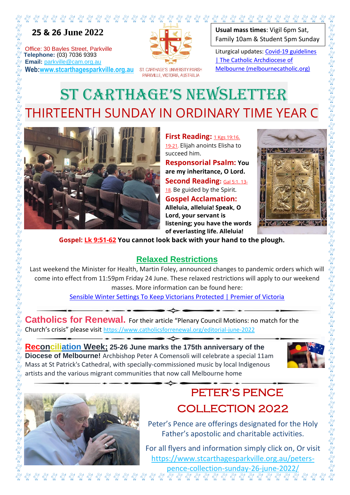

 **25 & 26 June 2022**

Office: 30 Bayles Street, Parkville **Telephone:** (03) 7036 9393<br> **Telephone:** (03) 7036 9393<br> **Telephone:** (03) 7036 9393<br> **The Email:** parkville@cam.org.a **Email:** parkville@cam.org.au **Web:www.stcarthagesparkville.org.au**



ST. CARTHAGE'S UNIVERSITY PARISH PARKVILLE, VICTORIA, AUSTRALIA

**Usual mass times**: Vigil 6pm Sat, Family 10am & Student 5pm Sunday

Liturgical updates: Covid-19 guidelines | The Catholic Archdiocese of Melbourne (melbournecatholic.org)

## ST CARTHAGE'S NEWSLETTER THIRTEENTH SUNDAY IN ORDINARY TIME YEAR C



**First Reading: 1 Kgs 19:16.** 19-21. Elijah anoints Elisha to succeed him.

**Responsorial Psalm: You are my inheritance, O Lord. Second Reading:** Gal 5:1. 13- 18. Be guided by the Spirit. **Gospel Acclamation: Alleluia, alleluia! Speak, O Lord, your servant is listening; you have the words of everlasting life. Alleluia!**



**Gospel: Lk 9:51-62 You cannot look back with your hand to the plough.**

## **Relaxed Restrictions**

Last weekend the Minister for Health, Martin Foley, announced changes to pandemic orders which will come into effect from 11:59pm Friday 24 June. These relaxed restrictions will apply to our weekend masses. More information can be found here:

Sensible Winter Settings To Keep Victorians Protected | Premier of Victoria

**Catholics for Renewal.** For their article "Plenary Council Motions: no match for the Church's crisis" please visit https://www.catholicsforrenewal.org/editorial-june-2022

นี

**Reconciliation Week; 25-26 June marks the 175th anniversary of the Diocese of Melbourne!** Archbishop Peter A Comensoli will celebrate a special 11am Mass at St Patrick's Cathedral, with specially-commissioned music by local Indigenous artists and the various migrant communities that now call Melbourne home





## PETER'S PENCE COLLECTION 2022

Peter's Pence are offerings designated for the Holy Father's apostolic and charitable activities.

For all flyers and information simply click on, Or visit https://www.stcarthagesparkville.org.au/peterspence-collection-sunday-26-june-2022/

นี นี นี นี นี นี นี นี นี นี นี นี นี